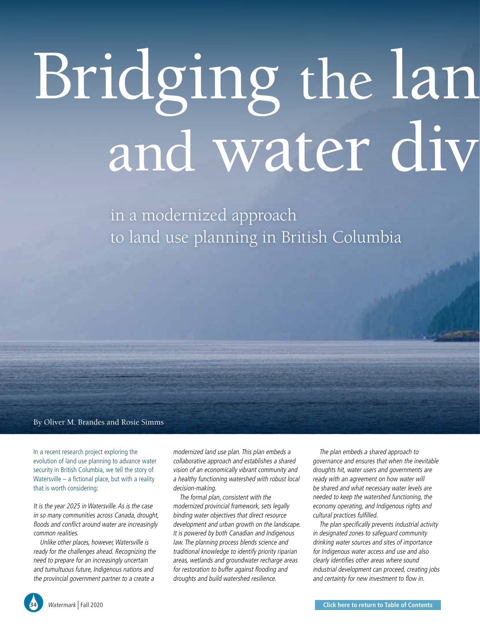# Bridging the lan and water div

in a modernized approach to land use planning in British Columbia

# By Oliver M. Brandes and Rosie Simms

In a recent research project exploring the evolution of land use planning to advance water security in British Columbia, we tell the story of Watersville – a fictional place, but with a reality that is worth considering:

It is the year 2025 in Watersville. As is the case in so many communities across Canada, drought, floods and conflict around water are increasingly common realities.

Unlike other places, however, Watersville is ready for the challenges ahead. Recognizing the need to prepare for an increasingly uncertain and tumultuous future, Indigenous nations and the provincial government partner to a create a

modernized land use plan. This plan embeds a collaborative approach and establishes a shared vision of an economically vibrant community and a healthy functioning watershed with robust local decision-making.

The formal plan, consistent with the modernized provincial framework, sets legally binding water objectives that direct resource development and urban growth on the landscape. It is powered by both Canadian and Indigenous law. The planning process blends science and traditional knowledge to identify priority riparian areas, wetlands and groundwater recharge areas for restoration to buffer against flooding and droughts and build watershed resilience.

The plan embeds a shared approach to governance and ensures that when the inevitable droughts hit, water users and governments are ready with an agreement on how water will be shared and what necessary water levels are needed to keep the watershed functioning, the economy operating, and Indigenous rights and cultural practices fulfilled.

The plan specifically prevents industrial activity in designated zones to safeguard community drinking water sources and sites of importance for Indigenous water access and use and also clearly identifies other areas where sound industrial development can proceed, creating jobs and certainty for new investment to flow in.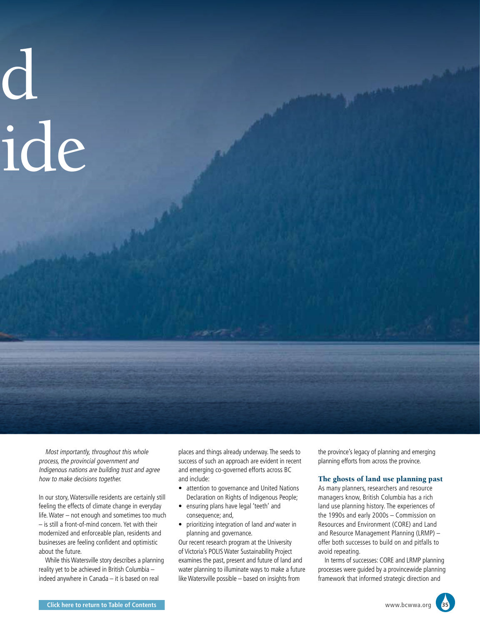# $\mathbf{d}$ ide

Most importantly, throughout this whole process, the provincial government and Indigenous nations are building trust and agree how to make decisions together.

In our story, Watersville residents are certainly still feeling the effects of climate change in everyday life. Water – not enough and sometimes too much – is still a front-of-mind concern. Yet with their modernized and enforceable plan, residents and businesses are feeling confident and optimistic about the future.

While this Watersville story describes a planning reality yet to be achieved in British Columbia – indeed anywhere in Canada – it is based on real

places and things already underway. The seeds to success of such an approach are evident in recent and emerging co-governed efforts across BC and include:

- attention to governance and United Nations Declaration on Rights of Indigenous People;
- ensuring plans have legal 'teeth' and consequence; and,
- prioritizing integration of land and water in planning and governance.

Our recent research program at the University of Victoria's POLIS Water Sustainability Project examines the past, present and future of land and water planning to illuminate ways to make a future like Watersville possible – based on insights from

the province's legacy of planning and emerging planning efforts from across the province.

## The ghosts of land use planning past

As many planners, researchers and resource managers know, British Columbia has a rich land use planning history. The experiences of the 1990s and early 2000s – Commission on Resources and Environment (CORE) and Land and Resource Management Planning (LRMP) – offer both successes to build on and pitfalls to avoid repeating.

In terms of successes: CORE and LRMP planning processes were guided by a provincewide planning framework that informed strategic direction and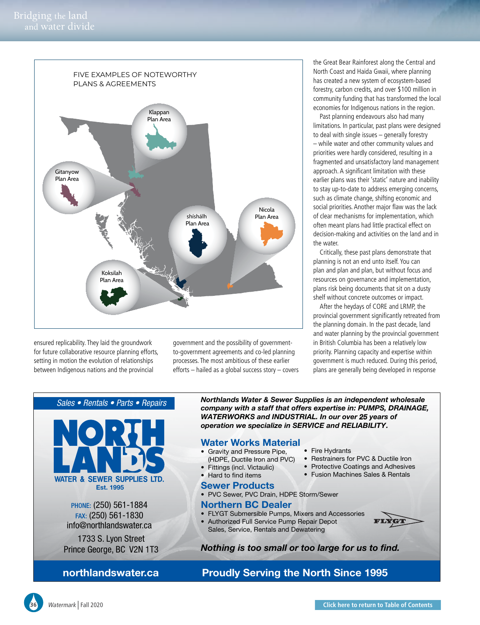

ensured replicability. They laid the groundwork for future collaborative resource planning efforts, setting in motion the evolution of relationships between Indigenous nations and the provincial

government and the possibility of governmentto-government agreements and co-led planning processes. The most ambitious of these earlier efforts – hailed as a global success story – covers the Great Bear Rainforest along the Central and North Coast and Haida Gwaii, where planning has created a new system of ecosystem-based forestry, carbon credits, and over \$100 million in community funding that has transformed the local economies for Indigenous nations in the region.

Past planning endeavours also had many limitations. In particular, past plans were designed to deal with single issues – generally forestry – while water and other community values and priorities were hardly considered, resulting in a fragmented and unsatisfactory land management approach. A significant limitation with these earlier plans was their 'static' nature and inability to stay up-to-date to address emerging concerns, such as climate change, shifting economic and social priorities. Another major flaw was the lack of clear mechanisms for implementation, which often meant plans had little practical effect on decision-making and activities on the land and in the water.

Critically, these past plans demonstrate that planning is not an end unto itself. You can plan and plan and plan, but without focus and resources on governance and implementation, plans risk being documents that sit on a dusty shelf without concrete outcomes or impact.

After the heydays of CORE and LRMP, the provincial government significantly retreated from the planning domain. In the past decade, land and water planning by the provincial government in British Columbia has been a relatively low priority. Planning capacity and expertise within government is much reduced. During this period, plans are generally being developed in response

# *Sales • Rentals • Parts • Repairs*



Prince George, BC V2N 1T3

**northlandswater.ca**

*Northlands Water & Sewer Supplies is an independent wholesale company with a staff that offers expertise in: PUMPS, DRAINAGE, WATERWORKS and INDUSTRIAL. In our over 25 years of operation we specialize in SERVICE and RELIABILITY .*

## **Water Works Material**

- Gravity and Pressure Pipe,
- (HDPE, Ductile Iron and PVC)
- Fittings (incl. Victaulic)
- Hard to find items

# **Sewer Products**

• PVC Sewer, PVC Drain, HDPE Storm/Sewer

# **Northern BC Dealer**

- FLYGT Submersible Pumps, Mixers and Accessories
- Authorized Full Service Pump Repair Depot Sales, Service, Rentals and Dewatering



- Restrainers for PVC & Ductile Iron
- Protective Coatings and Adhesives
- Fusion Machines Sales & Rentals
- 
- 

- 
- 

YGT

# **Nothing is too small or too large for us to find.**

# **Proudly Serving the North Since 1995**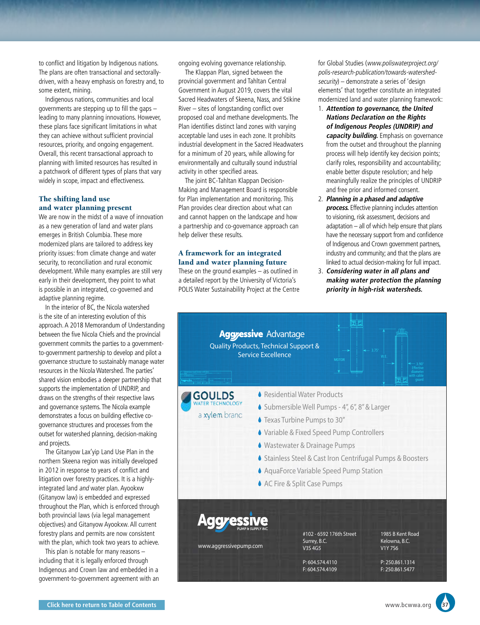to conflict and litigation by Indigenous nations. The plans are often transactional and sectorallydriven, with a heavy emphasis on forestry and, to some extent, mining.

Indigenous nations, communities and local governments are stepping up to fill the gaps – leading to many planning innovations. However, these plans face significant limitations in what they can achieve without sufficient provincial resources, priority, and ongoing engagement. Overall, this recent transactional approach to planning with limited resources has resulted in a patchwork of different types of plans that vary widely in scope, impact and effectiveness.

# The shifting land use and water planning present

We are now in the midst of a wave of innovation as a new generation of land and water plans emerges in British Columbia. These more modernized plans are tailored to address key priority issues: from climate change and water security, to reconciliation and rural economic development. While many examples are still very early in their development, they point to what is possible in an integrated, co-governed and adaptive planning regime.

In the interior of BC, the Nicola watershed is the site of an interesting evolution of this approach. A 2018 Memorandum of Understanding between the five Nicola Chiefs and the provincial government commits the parties to a governmentto-government partnership to develop and pilot a governance structure to sustainably manage water resources in the Nicola Watershed. The parties' shared vision embodies a deeper partnership that supports the implementation of UNDRIP, and draws on the strengths of their respective laws and governance systems. The Nicola example demonstrates a focus on building effective cogovernance structures and processes from the outset for watershed planning, decision-making and projects.

The Gitanyow Lax'yip Land Use Plan in the northern Skeena region was initially developed in 2012 in response to years of conflict and litigation over forestry practices. It is a highlyintegrated land and water plan. Ayookxw (Gitanyow law) is embedded and expressed throughout the Plan, which is enforced through both provincial laws (via legal management objectives) and Gitanyow Ayookxw. All current forestry plans and permits are now consistent with the plan, which took two years to achieve.

This plan is notable for many reasons – including that it is legally enforced through Indigenous and Crown law and embedded in a government-to-government agreement with an ongoing evolving governance relationship.

The Klappan Plan, signed between the provincial government and Tahltan Central Government in August 2019, covers the vital Sacred Headwaters of Skeena, Nass, and Stikine River – sites of longstanding conflict over proposed coal and methane developments. The Plan identifies distinct land zones with varying acceptable land uses in each zone. It prohibits industrial development in the Sacred Headwaters for a minimum of 20 years, while allowing for environmentally and culturally sound industrial activity in other specified areas.

The joint BC-Tahltan Klappan Decision-Making and Management Board is responsible for Plan implementation and monitoring. This Plan provides clear direction about what can and cannot happen on the landscape and how a partnership and co-governance approach can help deliver these results.

# A framework for an integrated land and water planning future

These on the ground examples – as outlined in a detailed report by the University of Victoria's POLIS Water Sustainability Project at the Centre for Global Studies (www.poliswaterproject.org/ polis-research-publication/towards-watershedsecurity) – demonstrate a series of 'design elements' that together constitute an integrated modernized land and water planning framework:

- 1. **Attention to governance, the United Nations Declaration on the Rights of Indigenous Peoples (UNDRIP) and capacity building.** Emphasis on governance from the outset and throughout the planning process will help identify key decision points; clarify roles, responsibility and accountability; enable better dispute resolution; and help meaningfully realize the principles of UNDRIP and free prior and informed consent.
- 2. **Planning in a phased and adaptive process.** Effective planning includes attention to visioning, risk assessment, decisions and adaptation – all of which help ensure that plans have the necessary support from and confidence of Indigenous and Crown government partners, industry and community; and that the plans are linked to actual decision-making for full impact.
- 3. **Considering water in all plans and making water protection the planning priority in high-risk watersheds.**